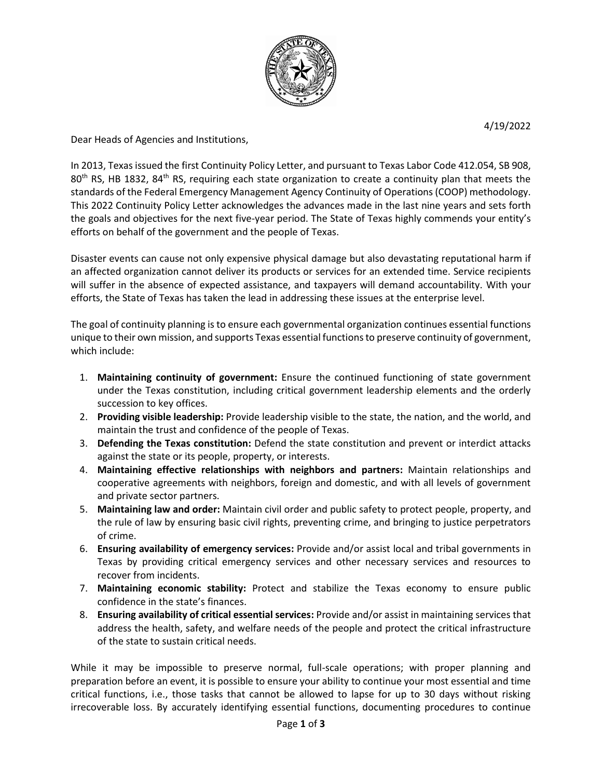

4/19/2022

Dear Heads of Agencies and Institutions,

In 2013, Texas issued the first Continuity Policy Letter, and pursuant to Texas Labor Code 412.054, SB 908, 80<sup>th</sup> RS, HB 1832, 84<sup>th</sup> RS, requiring each state organization to create a continuity plan that meets the standards of the Federal Emergency Management Agency Continuity of Operations (COOP) methodology. This 2022 Continuity Policy Letter acknowledges the advances made in the last nine years and sets forth the goals and objectives for the next five-year period. The State of Texas highly commends your entity's efforts on behalf of the government and the people of Texas.

Disaster events can cause not only expensive physical damage but also devastating reputational harm if an affected organization cannot deliver its products or services for an extended time. Service recipients will suffer in the absence of expected assistance, and taxpayers will demand accountability. With your efforts, the State of Texas has taken the lead in addressing these issues at the enterprise level.

The goal of continuity planning is to ensure each governmental organization continues essential functions unique to their own mission, and supports Texas essential functions to preserve continuity of government, which include:

- 1. **Maintaining continuity of government:** Ensure the continued functioning of state government under the Texas constitution, including critical government leadership elements and the orderly succession to key offices.
- 2. **Providing visible leadership:** Provide leadership visible to the state, the nation, and the world, and maintain the trust and confidence of the people of Texas.
- 3. **Defending the Texas constitution:** Defend the state constitution and prevent or interdict attacks against the state or its people, property, or interests.
- 4. **Maintaining effective relationships with neighbors and partners:** Maintain relationships and cooperative agreements with neighbors, foreign and domestic, and with all levels of government and private sector partners.
- 5. **Maintaining law and order:** Maintain civil order and public safety to protect people, property, and the rule of law by ensuring basic civil rights, preventing crime, and bringing to justice perpetrators of crime.
- 6. **Ensuring availability of emergency services:** Provide and/or assist local and tribal governments in Texas by providing critical emergency services and other necessary services and resources to recover from incidents.
- 7. **Maintaining economic stability:** Protect and stabilize the Texas economy to ensure public confidence in the state's finances.
- 8. **Ensuring availability of critical essential services:** Provide and/or assist in maintaining services that address the health, safety, and welfare needs of the people and protect the critical infrastructure of the state to sustain critical needs.

While it may be impossible to preserve normal, full-scale operations; with proper planning and preparation before an event, it is possible to ensure your ability to continue your most essential and time critical functions, i.e., those tasks that cannot be allowed to lapse for up to 30 days without risking irrecoverable loss. By accurately identifying essential functions, documenting procedures to continue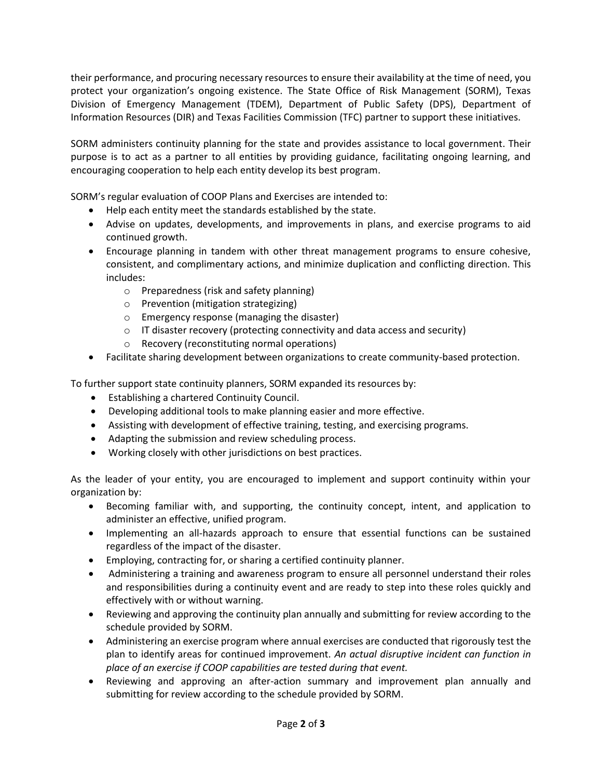their performance, and procuring necessary resources to ensure their availability at the time of need, you protect your organization's ongoing existence. The State Office of Risk Management (SORM), Texas Division of Emergency Management (TDEM), Department of Public Safety (DPS), Department of Information Resources (DIR) and Texas Facilities Commission (TFC) partner to support these initiatives.

SORM administers continuity planning for the state and provides assistance to local government. Their purpose is to act as a partner to all entities by providing guidance, facilitating ongoing learning, and encouraging cooperation to help each entity develop its best program.

SORM's regular evaluation of COOP Plans and Exercises are intended to:

- Help each entity meet the standards established by the state.
- Advise on updates, developments, and improvements in plans, and exercise programs to aid continued growth.
- Encourage planning in tandem with other threat management programs to ensure cohesive, consistent, and complimentary actions, and minimize duplication and conflicting direction. This includes:
	- o Preparedness (risk and safety planning)
	- o Prevention (mitigation strategizing)
	- o Emergency response (managing the disaster)
	- $\circ$  IT disaster recovery (protecting connectivity and data access and security)
	- o Recovery (reconstituting normal operations)
- Facilitate sharing development between organizations to create community-based protection.

To further support state continuity planners, SORM expanded its resources by:

- Establishing a chartered Continuity Council.
- Developing additional tools to make planning easier and more effective.
- Assisting with development of effective training, testing, and exercising programs.
- Adapting the submission and review scheduling process.
- Working closely with other jurisdictions on best practices.

As the leader of your entity, you are encouraged to implement and support continuity within your organization by:

- Becoming familiar with, and supporting, the continuity concept, intent, and application to administer an effective, unified program.
- Implementing an all-hazards approach to ensure that essential functions can be sustained regardless of the impact of the disaster.
- Employing, contracting for, or sharing a certified continuity planner.
- Administering a training and awareness program to ensure all personnel understand their roles and responsibilities during a continuity event and are ready to step into these roles quickly and effectively with or without warning.
- Reviewing and approving the continuity plan annually and submitting for review according to the schedule provided by SORM.
- Administering an exercise program where annual exercises are conducted that rigorously test the plan to identify areas for continued improvement. *An actual disruptive incident can function in place of an exercise if COOP capabilities are tested during that event.*
- Reviewing and approving an after-action summary and improvement plan annually and submitting for review according to the schedule provided by SORM.